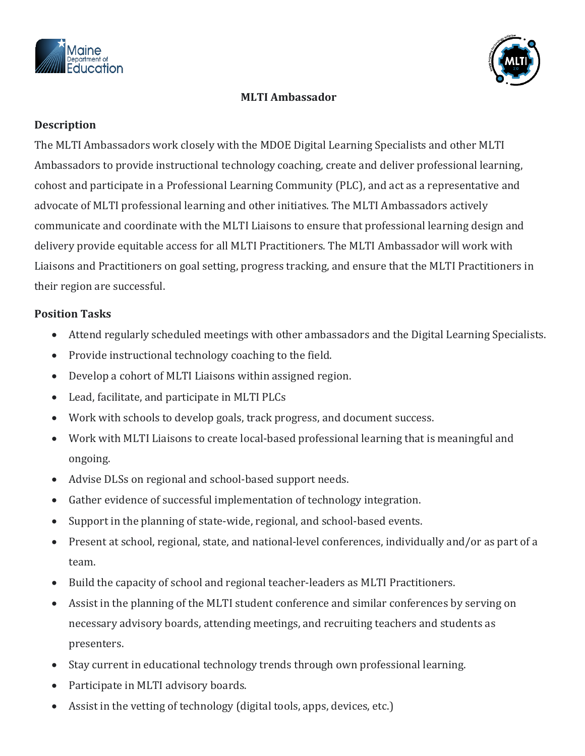



## **MLTI Ambassador**

## **Description**

The MLTI Ambassadors work closely with the MDOE Digital Learning Specialists and other MLTI Ambassadors to provide instructional technology coaching, create and deliver professional learning, cohost and participate in a Professional Learning Community (PLC), and act as a representative and advocate of MLTI professional learning and other initiatives. The MLTI Ambassadors actively communicate and coordinate with the MLTI Liaisons to ensure that professional learning design and delivery provide equitable access for all MLTI Practitioners. The MLTI Ambassador will work with Liaisons and Practitioners on goal setting, progress tracking, and ensure that the MLTI Practitioners in their region are successful.

## **Position Tasks**

- Attend regularly scheduled meetings with other ambassadors and the Digital Learning Specialists.
- Provide instructional technology coaching to the field.
- Develop a cohort of MLTI Liaisons within assigned region.
- Lead, facilitate, and participate in MLTI PLCs
- Work with schools to develop goals, track progress, and document success.
- Work with MLTI Liaisons to create local-based professional learning that is meaningful and ongoing.
- Advise DLSs on regional and school-based support needs.
- Gather evidence of successful implementation of technology integration.
- Support in the planning of state-wide, regional, and school-based events.
- Present at school, regional, state, and national-level conferences, individually and/or as part of a team.
- Build the capacity of school and regional teacher-leaders as MLTI Practitioners.
- Assist in the planning of the MLTI student conference and similar conferences by serving on necessary advisory boards, attending meetings, and recruiting teachers and students as presenters.
- Stay current in educational technology trends through own professional learning.
- Participate in MLTI advisory boards.
- Assist in the vetting of technology (digital tools, apps, devices, etc.)